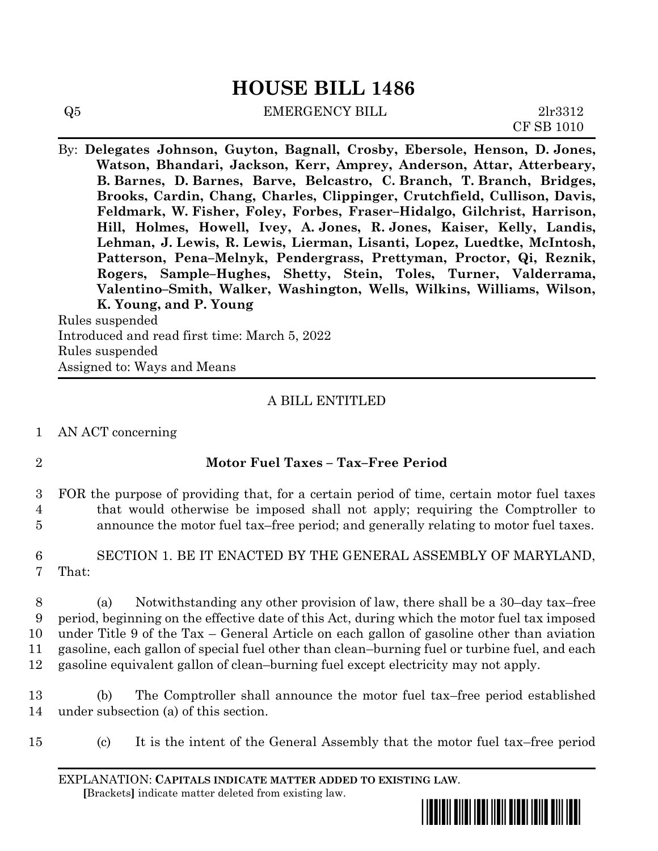# **HOUSE BILL 1486**

| Q5 | <b>EMERGENCY BILL</b> | 2lr3312           |
|----|-----------------------|-------------------|
|    |                       | <b>CF SB 1010</b> |

By: **Delegates Johnson, Guyton, Bagnall, Crosby, Ebersole, Henson, D. Jones, Watson, Bhandari, Jackson, Kerr, Amprey, Anderson, Attar, Atterbeary, B. Barnes, D. Barnes, Barve, Belcastro, C. Branch, T. Branch, Bridges, Brooks, Cardin, Chang, Charles, Clippinger, Crutchfield, Cullison, Davis, Feldmark, W. Fisher, Foley, Forbes, Fraser–Hidalgo, Gilchrist, Harrison, Hill, Holmes, Howell, Ivey, A. Jones, R. Jones, Kaiser, Kelly, Landis, Lehman, J. Lewis, R. Lewis, Lierman, Lisanti, Lopez, Luedtke, McIntosh, Patterson, Pena–Melnyk, Pendergrass, Prettyman, Proctor, Qi, Reznik, Rogers, Sample–Hughes, Shetty, Stein, Toles, Turner, Valderrama, Valentino–Smith, Walker, Washington, Wells, Wilkins, Williams, Wilson, K. Young, and P. Young**

Rules suspended Introduced and read first time: March 5, 2022 Rules suspended Assigned to: Ways and Means

### A BILL ENTITLED

- 1 AN ACT concerning
- 

## 2 **Motor Fuel Taxes – Tax–Free Period**

- 3 FOR the purpose of providing that, for a certain period of time, certain motor fuel taxes 4 that would otherwise be imposed shall not apply; requiring the Comptroller to 5 announce the motor fuel tax–free period; and generally relating to motor fuel taxes.
- 6 SECTION 1. BE IT ENACTED BY THE GENERAL ASSEMBLY OF MARYLAND, 7 That:

 (a) Notwithstanding any other provision of law, there shall be a 30–day tax–free period, beginning on the effective date of this Act, during which the motor fuel tax imposed under Title 9 of the Tax – General Article on each gallon of gasoline other than aviation gasoline, each gallon of special fuel other than clean–burning fuel or turbine fuel, and each gasoline equivalent gallon of clean–burning fuel except electricity may not apply.

13 (b) The Comptroller shall announce the motor fuel tax–free period established 14 under subsection (a) of this section.

15 (c) It is the intent of the General Assembly that the motor fuel tax–free period

EXPLANATION: **CAPITALS INDICATE MATTER ADDED TO EXISTING LAW**.  **[**Brackets**]** indicate matter deleted from existing law.